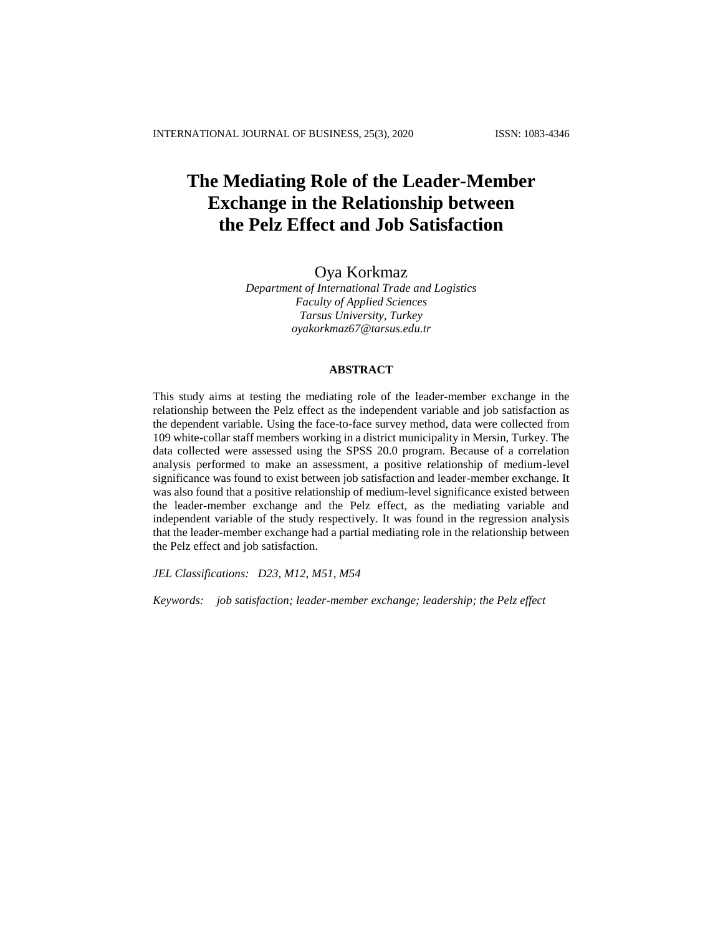# **The Mediating Role of the Leader-Member Exchange in the Relationship between the Pelz Effect and Job Satisfaction**

# Oya Korkmaz

*Department of International Trade and Logistics Faculty of Applied Sciences Tarsus University, Turkey [oyakorkmaz67@tarsus.edu.tr](mailto:oyakorkmaz67@tarsus.edu.tr)*

## **ABSTRACT**

This study aims at testing the mediating role of the leader-member exchange in the relationship between the Pelz effect as the independent variable and job satisfaction as the dependent variable. Using the face-to-face survey method, data were collected from 109 white-collar staff members working in a district municipality in Mersin, Turkey. The data collected were assessed using the SPSS 20.0 program. Because of a correlation analysis performed to make an assessment, a positive relationship of medium-level significance was found to exist between job satisfaction and leader-member exchange. It was also found that a positive relationship of medium-level significance existed between the leader-member exchange and the Pelz effect, as the mediating variable and independent variable of the study respectively. It was found in the regression analysis that the leader-member exchange had a partial mediating role in the relationship between the Pelz effect and job satisfaction.

*JEL Classifications: D23, M12, M51, M54*

*Keywords: job satisfaction; leader-member exchange; leadership; the Pelz effect*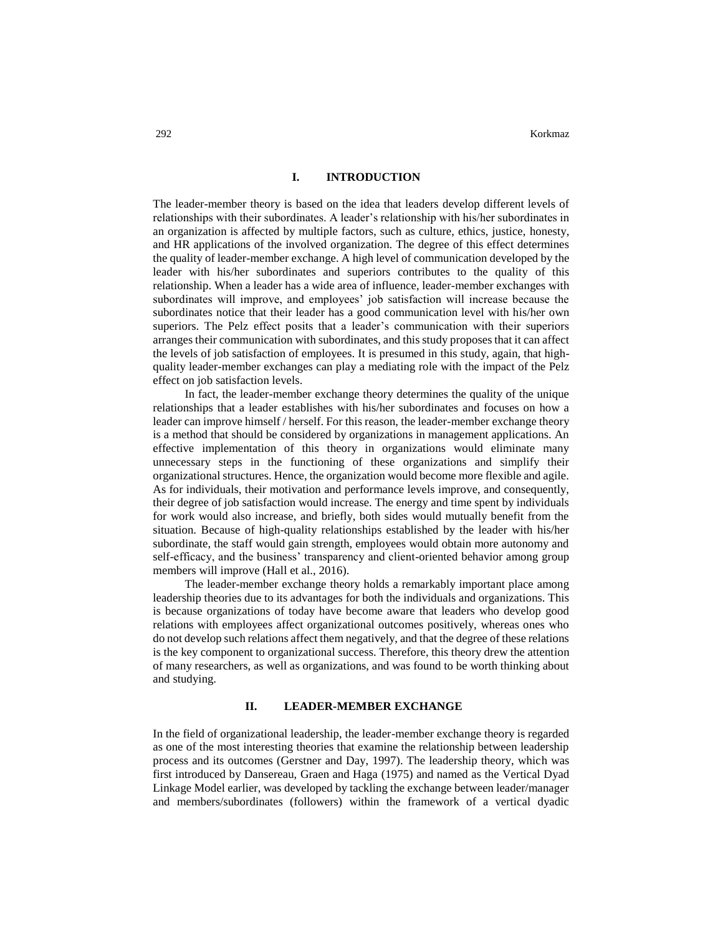#### **I. INTRODUCTION**

The leader-member theory is based on the idea that leaders develop different levels of relationships with their subordinates. A leader's relationship with his/her subordinates in an organization is affected by multiple factors, such as culture, ethics, justice, honesty, and HR applications of the involved organization. The degree of this effect determines the quality of leader-member exchange. A high level of communication developed by the leader with his/her subordinates and superiors contributes to the quality of this relationship. When a leader has a wide area of influence, leader-member exchanges with subordinates will improve, and employees' job satisfaction will increase because the subordinates notice that their leader has a good communication level with his/her own superiors. The Pelz effect posits that a leader's communication with their superiors arranges their communication with subordinates, and this study proposes that it can affect the levels of job satisfaction of employees. It is presumed in this study, again, that highquality leader-member exchanges can play a mediating role with the impact of the Pelz effect on job satisfaction levels.

In fact, the leader-member exchange theory determines the quality of the unique relationships that a leader establishes with his/her subordinates and focuses on how a leader can improve himself / herself. For this reason, the leader-member exchange theory is a method that should be considered by organizations in management applications. An effective implementation of this theory in organizations would eliminate many unnecessary steps in the functioning of these organizations and simplify their organizational structures. Hence, the organization would become more flexible and agile. As for individuals, their motivation and performance levels improve, and consequently, their degree of job satisfaction would increase. The energy and time spent by individuals for work would also increase, and briefly, both sides would mutually benefit from the situation. Because of high-quality relationships established by the leader with his/her subordinate, the staff would gain strength, employees would obtain more autonomy and self-efficacy, and the business' transparency and client-oriented behavior among group members will improve (Hall et al., 2016).

The leader-member exchange theory holds a remarkably important place among leadership theories due to its advantages for both the individuals and organizations. This is because organizations of today have become aware that leaders who develop good relations with employees affect organizational outcomes positively, whereas ones who do not develop such relations affect them negatively, and that the degree of these relations is the key component to organizational success. Therefore, this theory drew the attention of many researchers, as well as organizations, and was found to be worth thinking about and studying.

#### **II. LEADER-MEMBER EXCHANGE**

In the field of organizational leadership, the leader-member exchange theory is regarded as one of the most interesting theories that examine the relationship between leadership process and its outcomes (Gerstner and Day, 1997). The leadership theory, which was first introduced by Dansereau, Graen and Haga (1975) and named as the Vertical Dyad Linkage Model earlier, was developed by tackling the exchange between leader/manager and members/subordinates (followers) within the framework of a vertical dyadic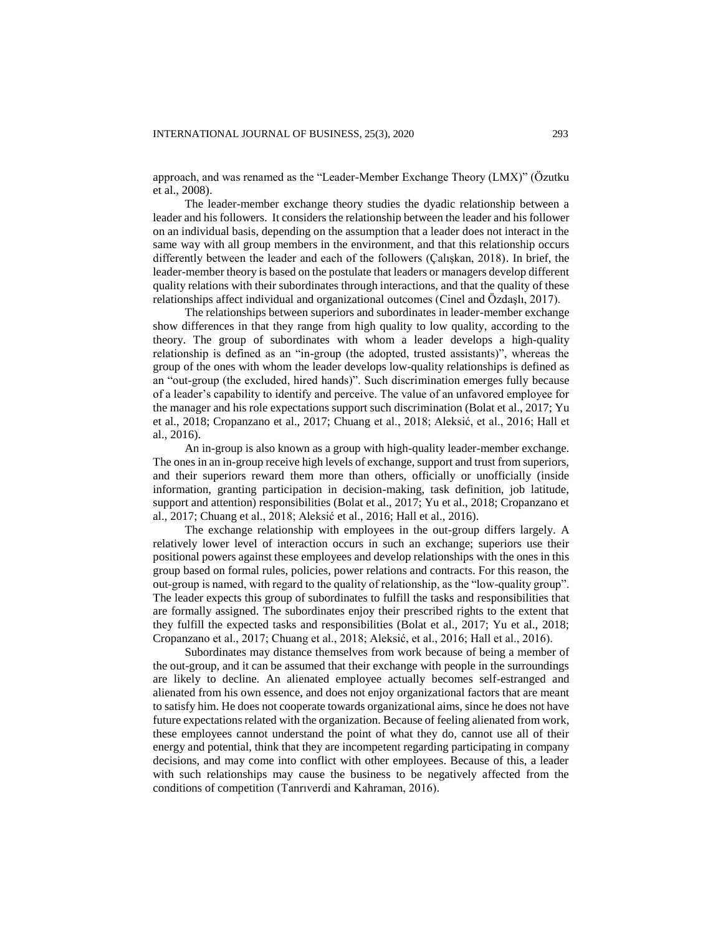approach, and was renamed as the "Leader-Member Exchange Theory (LMX)" (Özutku et al., 2008).

The leader-member exchange theory studies the dyadic relationship between a leader and his followers. It considers the relationship between the leader and his follower on an individual basis, depending on the assumption that a leader does not interact in the same way with all group members in the environment, and that this relationship occurs differently between the leader and each of the followers (Çalışkan, 2018). In brief, the leader-member theory is based on the postulate that leaders or managers develop different quality relations with their subordinates through interactions, and that the quality of these relationships affect individual and organizational outcomes (Cinel and Özdaşlı, 2017).

The relationships between superiors and subordinates in leader-member exchange show differences in that they range from high quality to low quality, according to the theory. The group of subordinates with whom a leader develops a high-quality relationship is defined as an "in-group (the adopted, trusted assistants)", whereas the group of the ones with whom the leader develops low-quality relationships is defined as an "out-group (the excluded, hired hands)". Such discrimination emerges fully because of a leader's capability to identify and perceive. The value of an unfavored employee for the manager and his role expectations support such discrimination (Bolat et al., 2017; Yu et al., 2018; Cropanzano et al., 2017; Chuang et al., 2018; Aleksić, et al., 2016; Hall et al., 2016).

An in-group is also known as a group with high-quality leader-member exchange. The ones in an in-group receive high levels of exchange, support and trust from superiors, and their superiors reward them more than others, officially or unofficially (inside information, granting participation in decision-making, task definition, job latitude, support and attention) responsibilities (Bolat et al., 2017; Yu et al., 2018; Cropanzano et al., 2017; Chuang et al., 2018; Aleksić et al., 2016; Hall et al., 2016).

The exchange relationship with employees in the out-group differs largely. A relatively lower level of interaction occurs in such an exchange; superiors use their positional powers against these employees and develop relationships with the ones in this group based on formal rules, policies, power relations and contracts. For this reason, the out-group is named, with regard to the quality of relationship, as the "low-quality group". The leader expects this group of subordinates to fulfill the tasks and responsibilities that are formally assigned. The subordinates enjoy their prescribed rights to the extent that they fulfill the expected tasks and responsibilities (Bolat et al., 2017; Yu et al., 2018; Cropanzano et al., 2017; Chuang et al., 2018; Aleksić, et al., 2016; Hall et al., 2016).

Subordinates may distance themselves from work because of being a member of the out-group, and it can be assumed that their exchange with people in the surroundings are likely to decline. An alienated employee actually becomes self-estranged and alienated from his own essence, and does not enjoy organizational factors that are meant to satisfy him. He does not cooperate towards organizational aims, since he does not have future expectations related with the organization. Because of feeling alienated from work, these employees cannot understand the point of what they do, cannot use all of their energy and potential, think that they are incompetent regarding participating in company decisions, and may come into conflict with other employees. Because of this, a leader with such relationships may cause the business to be negatively affected from the conditions of competition (Tanrıverdi and Kahraman, 2016).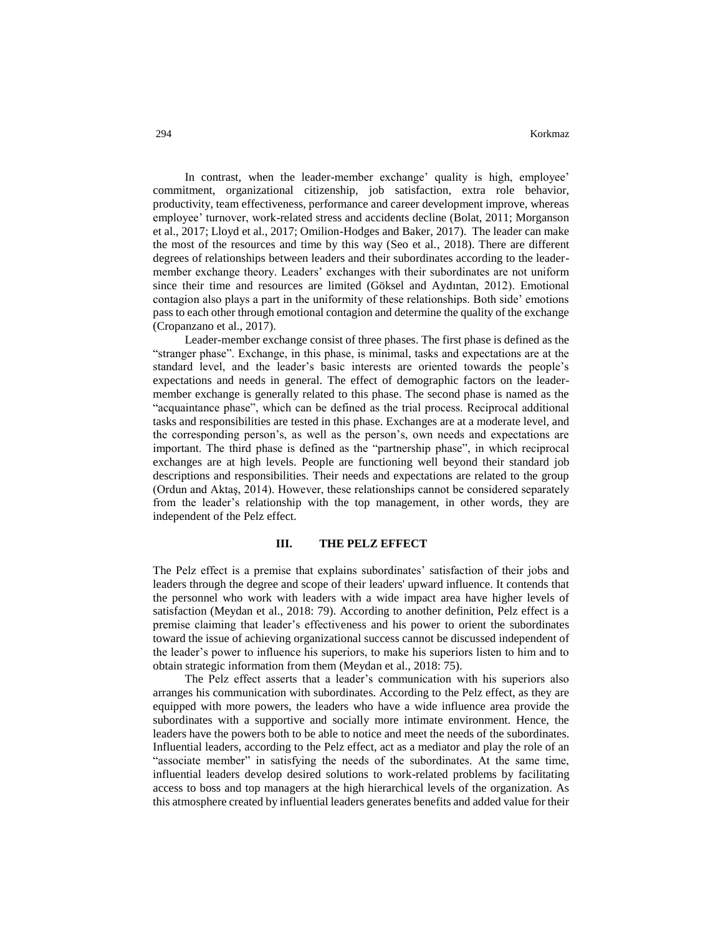In contrast, when the leader-member exchange' quality is high, employee' commitment, organizational citizenship, job satisfaction, extra role behavior, productivity, team effectiveness, performance and career development improve, whereas employee' turnover, work-related stress and accidents decline (Bolat, 2011; Morganson et al., 2017; Lloyd et al., 2017; Omilion-Hodges and Baker, 2017). The leader can make the most of the resources and time by this way (Seo et al., 2018). There are different degrees of relationships between leaders and their subordinates according to the leadermember exchange theory. Leaders' exchanges with their subordinates are not uniform since their time and resources are limited (Göksel and Aydıntan, 2012). Emotional contagion also plays a part in the uniformity of these relationships. Both side' emotions pass to each other through emotional contagion and determine the quality of the exchange (Cropanzano et al., 2017).

Leader-member exchange consist of three phases. The first phase is defined as the "stranger phase". Exchange, in this phase, is minimal, tasks and expectations are at the standard level, and the leader's basic interests are oriented towards the people's expectations and needs in general. The effect of demographic factors on the leadermember exchange is generally related to this phase. The second phase is named as the "acquaintance phase", which can be defined as the trial process. Reciprocal additional tasks and responsibilities are tested in this phase. Exchanges are at a moderate level, and the corresponding person's, as well as the person's, own needs and expectations are important. The third phase is defined as the "partnership phase", in which reciprocal exchanges are at high levels. People are functioning well beyond their standard job descriptions and responsibilities. Their needs and expectations are related to the group (Ordun and Aktaş, 2014). However, these relationships cannot be considered separately from the leader's relationship with the top management, in other words, they are independent of the Pelz effect.

#### **III. THE PELZ EFFECT**

The Pelz effect is a premise that explains subordinates' satisfaction of their jobs and leaders through the degree and scope of their leaders' upward influence. It contends that the personnel who work with leaders with a wide impact area have higher levels of satisfaction (Meydan et al., 2018: 79). According to another definition, Pelz effect is a premise claiming that leader's effectiveness and his power to orient the subordinates toward the issue of achieving organizational success cannot be discussed independent of the leader's power to influence his superiors, to make his superiors listen to him and to obtain strategic information from them (Meydan et al., 2018: 75).

The Pelz effect asserts that a leader's communication with his superiors also arranges his communication with subordinates. According to the Pelz effect, as they are equipped with more powers, the leaders who have a wide influence area provide the subordinates with a supportive and socially more intimate environment. Hence, the leaders have the powers both to be able to notice and meet the needs of the subordinates. Influential leaders, according to the Pelz effect, act as a mediator and play the role of an "associate member" in satisfying the needs of the subordinates. At the same time, influential leaders develop desired solutions to work-related problems by facilitating access to boss and top managers at the high hierarchical levels of the organization. As this atmosphere created by influential leaders generates benefits and added value for their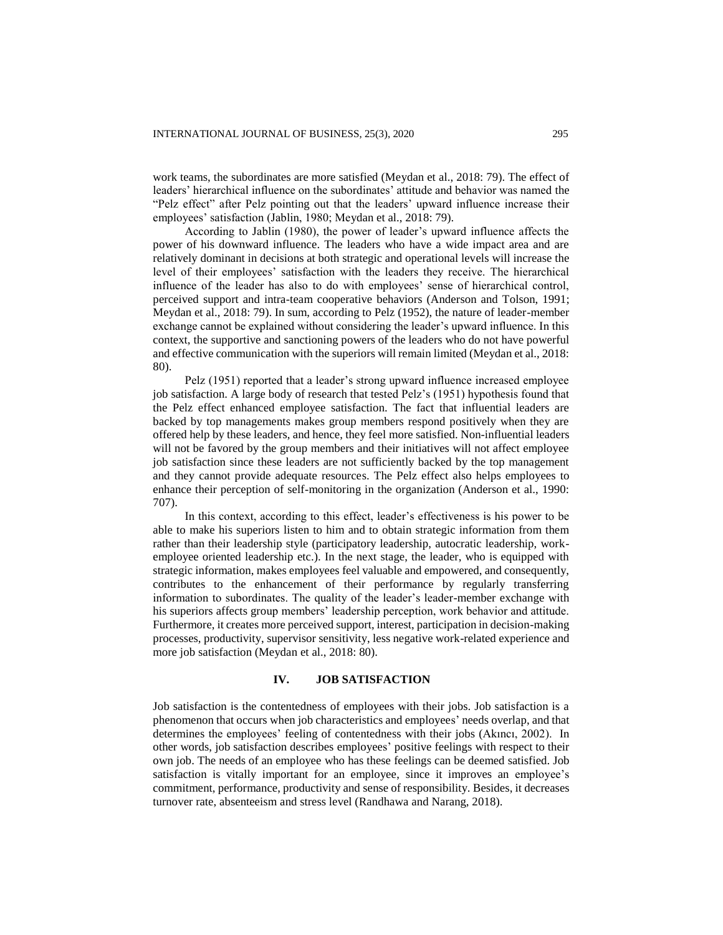work teams, the subordinates are more satisfied (Meydan et al., 2018: 79). The effect of leaders' hierarchical influence on the subordinates' attitude and behavior was named the "Pelz effect" after Pelz pointing out that the leaders' upward influence increase their employees' satisfaction (Jablin, 1980; Meydan et al., 2018: 79).

According to Jablin (1980), the power of leader's upward influence affects the power of his downward influence. The leaders who have a wide impact area and are relatively dominant in decisions at both strategic and operational levels will increase the level of their employees' satisfaction with the leaders they receive. The hierarchical influence of the leader has also to do with employees' sense of hierarchical control, perceived support and intra-team cooperative behaviors (Anderson and Tolson, 1991; Meydan et al., 2018: 79). In sum, according to Pelz (1952), the nature of leader-member exchange cannot be explained without considering the leader's upward influence. In this context, the supportive and sanctioning powers of the leaders who do not have powerful and effective communication with the superiors will remain limited (Meydan et al., 2018: 80).

Pelz (1951) reported that a leader's strong upward influence increased employee job satisfaction. A large body of research that tested Pelz's (1951) hypothesis found that the Pelz effect enhanced employee satisfaction. The fact that influential leaders are backed by top managements makes group members respond positively when they are offered help by these leaders, and hence, they feel more satisfied. Non-influential leaders will not be favored by the group members and their initiatives will not affect employee job satisfaction since these leaders are not sufficiently backed by the top management and they cannot provide adequate resources. The Pelz effect also helps employees to enhance their perception of self-monitoring in the organization (Anderson et al., 1990: 707).

In this context, according to this effect, leader's effectiveness is his power to be able to make his superiors listen to him and to obtain strategic information from them rather than their leadership style (participatory leadership, autocratic leadership, workemployee oriented leadership etc.). In the next stage, the leader, who is equipped with strategic information, makes employees feel valuable and empowered, and consequently, contributes to the enhancement of their performance by regularly transferring information to subordinates. The quality of the leader's leader-member exchange with his superiors affects group members' leadership perception, work behavior and attitude. Furthermore, it creates more perceived support, interest, participation in decision-making processes, productivity, supervisor sensitivity, less negative work-related experience and more job satisfaction (Meydan et al., 2018: 80).

## **IV. JOB SATISFACTION**

Job satisfaction is the contentedness of employees with their jobs. Job satisfaction is a phenomenon that occurs when job characteristics and employees' needs overlap, and that determines the employees' feeling of contentedness with their jobs (Akıncı, 2002). In other words, job satisfaction describes employees' positive feelings with respect to their own job. The needs of an employee who has these feelings can be deemed satisfied. Job satisfaction is vitally important for an employee, since it improves an employee's commitment, performance, productivity and sense of responsibility. Besides, it decreases turnover rate, absenteeism and stress level (Randhawa and Narang, 2018).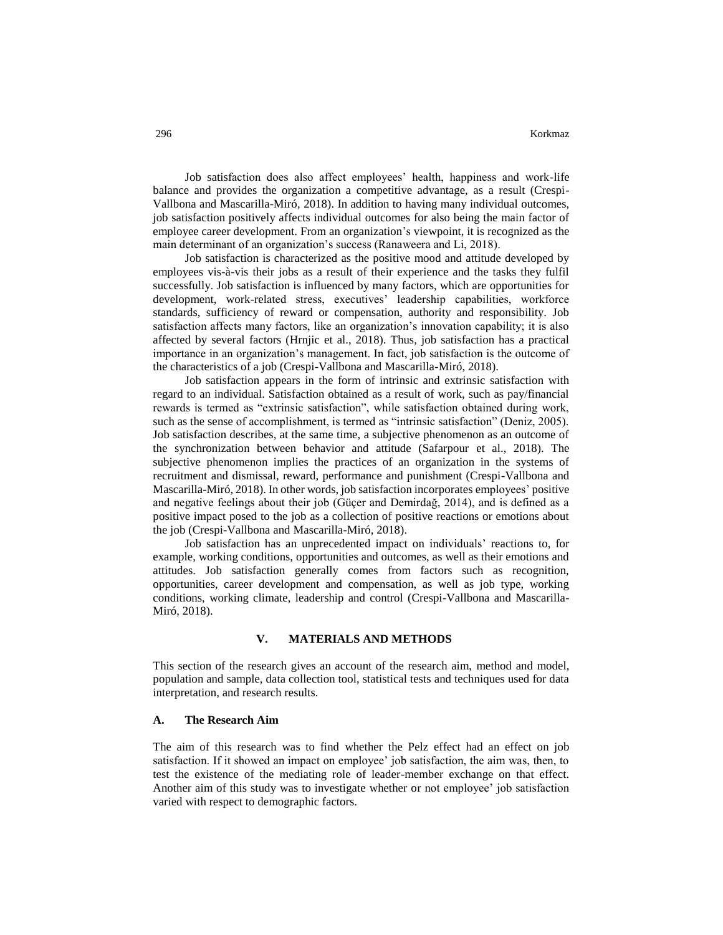Job satisfaction does also affect employees' health, happiness and work-life balance and provides the organization a competitive advantage, as a result (Crespi-Vallbona and Mascarilla-Miró, 2018). In addition to having many individual outcomes, job satisfaction positively affects individual outcomes for also being the main factor of employee career development. From an organization's viewpoint, it is recognized as the main determinant of an organization's success (Ranaweera and Li, 2018).

Job satisfaction is characterized as the positive mood and attitude developed by employees vis-à-vis their jobs as a result of their experience and the tasks they fulfil successfully. Job satisfaction is influenced by many factors, which are opportunities for development, work-related stress, executives' leadership capabilities, workforce standards, sufficiency of reward or compensation, authority and responsibility. Job satisfaction affects many factors, like an organization's innovation capability; it is also affected by several factors (Hrnjic et al., 2018). Thus, job satisfaction has a practical importance in an organization's management. In fact, job satisfaction is the outcome of the characteristics of a job (Crespi-Vallbona and Mascarilla-Miró, 2018).

Job satisfaction appears in the form of intrinsic and extrinsic satisfaction with regard to an individual. Satisfaction obtained as a result of work, such as pay/financial rewards is termed as "extrinsic satisfaction", while satisfaction obtained during work, such as the sense of accomplishment, is termed as "intrinsic satisfaction" (Deniz, 2005). Job satisfaction describes, at the same time, a subjective phenomenon as an outcome of the synchronization between behavior and attitude (Safarpour et al., 2018). The subjective phenomenon implies the practices of an organization in the systems of recruitment and dismissal, reward, performance and punishment (Crespi-Vallbona and Mascarilla-Miró, 2018). In other words, job satisfaction incorporates employees' positive and negative feelings about their job (Güçer and Demirdağ, 2014), and is defined as a positive impact posed to the job as a collection of positive reactions or emotions about the job (Crespi-Vallbona and Mascarilla-Miró, 2018).

Job satisfaction has an unprecedented impact on individuals' reactions to, for example, working conditions, opportunities and outcomes, as well as their emotions and attitudes. Job satisfaction generally comes from factors such as recognition, opportunities, career development and compensation, as well as job type, working conditions, working climate, leadership and control (Crespi-Vallbona and Mascarilla-Miró, 2018).

#### **V. MATERIALS AND METHODS**

This section of the research gives an account of the research aim, method and model, population and sample, data collection tool, statistical tests and techniques used for data interpretation, and research results.

## **A. The Research Aim**

The aim of this research was to find whether the Pelz effect had an effect on job satisfaction. If it showed an impact on employee' job satisfaction, the aim was, then, to test the existence of the mediating role of leader-member exchange on that effect. Another aim of this study was to investigate whether or not employee' job satisfaction varied with respect to demographic factors.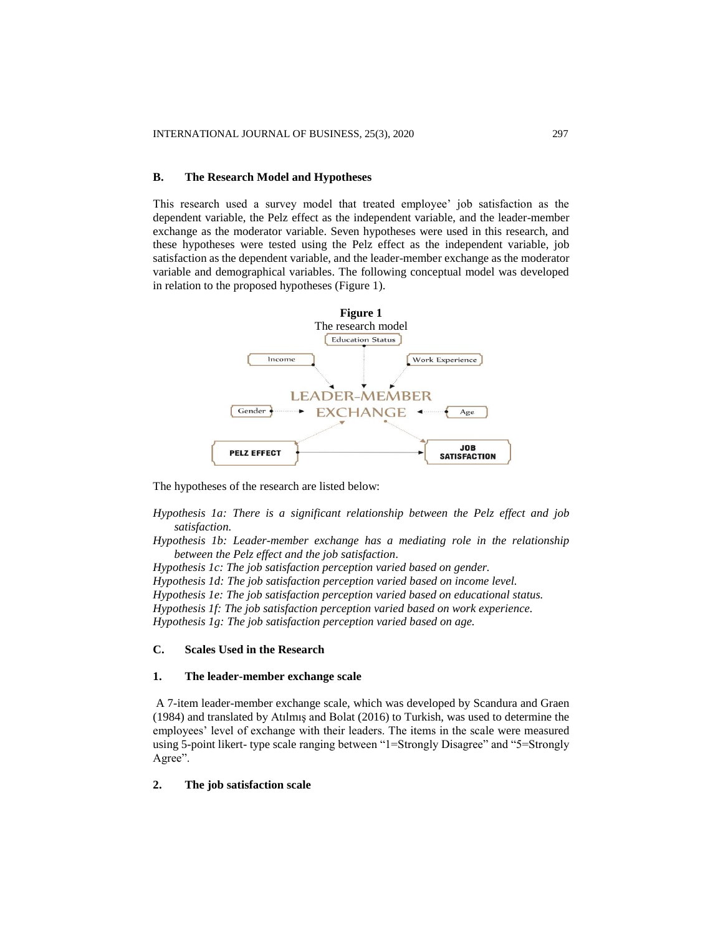#### **B. The Research Model and Hypotheses**

This research used a survey model that treated employee' job satisfaction as the dependent variable, the Pelz effect as the independent variable, and the leader-member exchange as the moderator variable. Seven hypotheses were used in this research, and these hypotheses were tested using the Pelz effect as the independent variable, job satisfaction as the dependent variable, and the leader-member exchange as the moderator variable and demographical variables. The following conceptual model was developed in relation to the proposed hypotheses (Figure 1).



The hypotheses of the research are listed below:

*Hypothesis 1a: There is a significant relationship between the Pelz effect and job satisfaction.*

*Hypothesis 1b: Leader-member exchange has a mediating role in the relationship between the Pelz effect and the job satisfaction.*

*Hypothesis 1c: The job satisfaction perception varied based on gender. Hypothesis 1d: The job satisfaction perception varied based on income level. Hypothesis 1e: The job satisfaction perception varied based on educational status. Hypothesis 1f: The job satisfaction perception varied based on work experience. Hypothesis 1g: The job satisfaction perception varied based on age.*

# **C. Scales Used in the Research**

## **1. The leader-member exchange scale**

A 7-item leader-member exchange scale, which was developed by Scandura and Graen (1984) and translated by Atılmış and Bolat (2016) to Turkish, was used to determine the employees' level of exchange with their leaders. The items in the scale were measured using 5-point likert- type scale ranging between "1=Strongly Disagree" and "5=Strongly Agree".

## **2. The job satisfaction scale**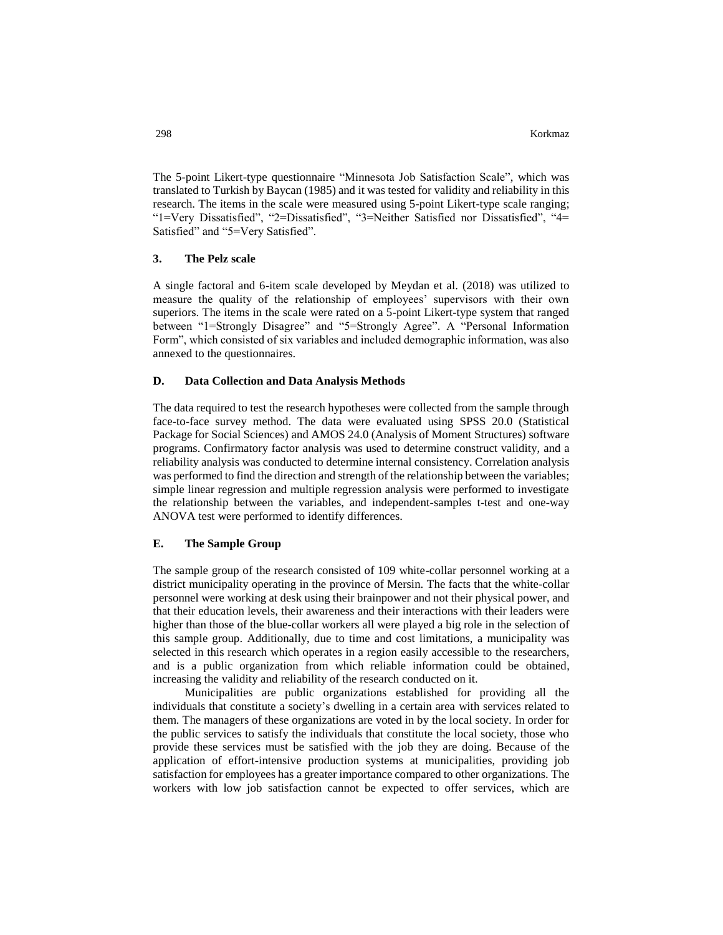The 5-point Likert-type questionnaire "Minnesota Job Satisfaction Scale", which was translated to Turkish by Baycan (1985) and it was tested for validity and reliability in this research. The items in the scale were measured using 5-point Likert-type scale ranging; "1=Very Dissatisfied", "2=Dissatisfied", "3=Neither Satisfied nor Dissatisfied", "4= Satisfied" and "5=Very Satisfied".

### **3. The Pelz scale**

A single factoral and 6-item scale developed by Meydan et al. (2018) was utilized to measure the quality of the relationship of employees' supervisors with their own superiors. The items in the scale were rated on a 5-point Likert-type system that ranged between "1=Strongly Disagree" and "5=Strongly Agree". A "Personal Information Form", which consisted of six variables and included demographic information, was also annexed to the questionnaires.

#### **D. Data Collection and Data Analysis Methods**

The data required to test the research hypotheses were collected from the sample through face-to-face survey method. The data were evaluated using SPSS 20.0 (Statistical Package for Social Sciences) and AMOS 24.0 (Analysis of Moment Structures) software programs. Confirmatory factor analysis was used to determine construct validity, and a reliability analysis was conducted to determine internal consistency. Correlation analysis was performed to find the direction and strength of the relationship between the variables; simple linear regression and multiple regression analysis were performed to investigate the relationship between the variables, and independent-samples t-test and one-way ANOVA test were performed to identify differences.

### **E. The Sample Group**

The sample group of the research consisted of 109 white-collar personnel working at a district municipality operating in the province of Mersin. The facts that the white-collar personnel were working at desk using their brainpower and not their physical power, and that their education levels, their awareness and their interactions with their leaders were higher than those of the blue-collar workers all were played a big role in the selection of this sample group. Additionally, due to time and cost limitations, a municipality was selected in this research which operates in a region easily accessible to the researchers, and is a public organization from which reliable information could be obtained, increasing the validity and reliability of the research conducted on it.

Municipalities are public organizations established for providing all the individuals that constitute a society's dwelling in a certain area with services related to them. The managers of these organizations are voted in by the local society. In order for the public services to satisfy the individuals that constitute the local society, those who provide these services must be satisfied with the job they are doing. Because of the application of effort-intensive production systems at municipalities, providing job satisfaction for employees has a greater importance compared to other organizations. The workers with low job satisfaction cannot be expected to offer services, which are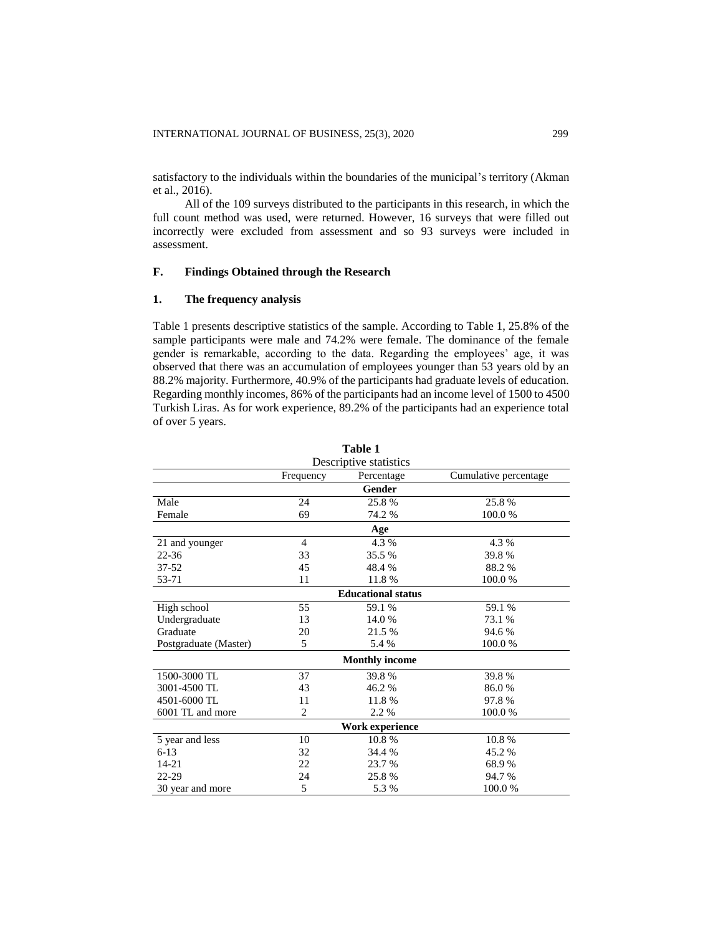satisfactory to the individuals within the boundaries of the municipal's territory (Akman et al., 2016).

All of the 109 surveys distributed to the participants in this research, in which the full count method was used, were returned. However, 16 surveys that were filled out incorrectly were excluded from assessment and so 93 surveys were included in assessment.

# **F. Findings Obtained through the Research**

## **1. The frequency analysis**

Table 1 presents descriptive statistics of the sample. According to Table 1, 25.8% of the sample participants were male and 74.2% were female. The dominance of the female gender is remarkable, according to the data. Regarding the employees' age, it was observed that there was an accumulation of employees younger than 53 years old by an 88.2% majority. Furthermore, 40.9% of the participants had graduate levels of education. Regarding monthly incomes, 86% of the participants had an income level of 1500 to 4500 Turkish Liras. As for work experience, 89.2% of the participants had an experience total of over 5 years.

|                       |                        | 1 avit 1                  |                       |  |  |  |  |  |  |  |
|-----------------------|------------------------|---------------------------|-----------------------|--|--|--|--|--|--|--|
|                       | Descriptive statistics |                           |                       |  |  |  |  |  |  |  |
|                       | Frequency              | Percentage                | Cumulative percentage |  |  |  |  |  |  |  |
|                       |                        | Gender                    |                       |  |  |  |  |  |  |  |
| Male                  | 24                     | 25.8%                     | 25.8%                 |  |  |  |  |  |  |  |
| Female                | 69                     | 74.2 %                    | 100.0%                |  |  |  |  |  |  |  |
| Age                   |                        |                           |                       |  |  |  |  |  |  |  |
| 21 and younger        | $\overline{4}$         | 4.3 %                     | 4.3 %                 |  |  |  |  |  |  |  |
| $22 - 36$             | 33                     | 35.5 %                    | 39.8%                 |  |  |  |  |  |  |  |
| 37-52                 | 45                     | 48.4%                     | 88.2%                 |  |  |  |  |  |  |  |
| 53-71                 | 11                     | 11.8%                     | 100.0%                |  |  |  |  |  |  |  |
|                       |                        | <b>Educational status</b> |                       |  |  |  |  |  |  |  |
| High school           | 55                     | 59.1 %                    | 59.1 %                |  |  |  |  |  |  |  |
| Undergraduate         | 13                     | 14.0 %                    | 73.1 %                |  |  |  |  |  |  |  |
| Graduate              | 20                     | 21.5 %                    | 94.6%                 |  |  |  |  |  |  |  |
| Postgraduate (Master) | 5                      | 5.4 %                     | 100.0%                |  |  |  |  |  |  |  |
|                       |                        | <b>Monthly income</b>     |                       |  |  |  |  |  |  |  |
| 1500-3000 TL          | 37                     | 39.8%                     | 39.8%                 |  |  |  |  |  |  |  |
| 3001-4500 TL          | 43                     | 46.2%                     | 86.0%                 |  |  |  |  |  |  |  |
| 4501-6000 TL          | 11                     | 11.8%                     | 97.8%                 |  |  |  |  |  |  |  |
| 6001 TL and more      | 2                      | 2.2 %                     | 100.0%                |  |  |  |  |  |  |  |
|                       |                        | Work experience           |                       |  |  |  |  |  |  |  |
| 5 year and less       | 10                     | 10.8%                     | 10.8%                 |  |  |  |  |  |  |  |
| $6-13$                | 32                     | 34.4 %                    | 45.2 %                |  |  |  |  |  |  |  |
| 14-21                 | 22                     | 23.7 %                    | 68.9%                 |  |  |  |  |  |  |  |
| 22-29                 | 24                     | 25.8%                     | 94.7 %                |  |  |  |  |  |  |  |
| 30 year and more      | 5                      | 5.3 %                     | 100.0%                |  |  |  |  |  |  |  |

**Table 1**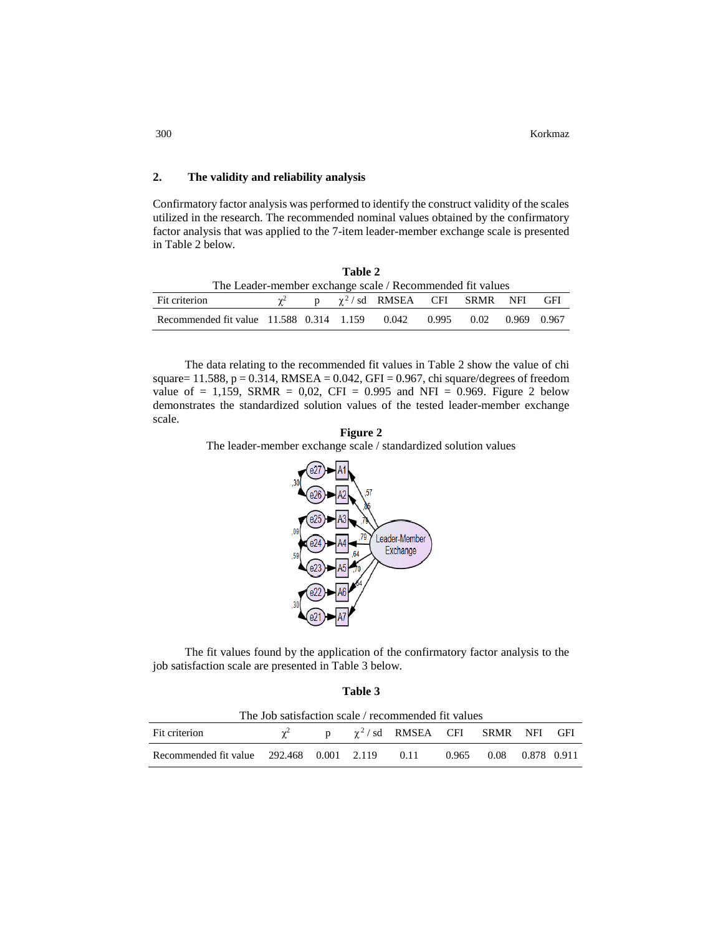## **2. The validity and reliability analysis**

Confirmatory factor analysis was performed to identify the construct validity of the scales utilized in the research. The recommended nominal values obtained by the confirmatory factor analysis that was applied to the 7-item leader-member exchange scale is presented in Table 2 below.

| Table 2                                                               |  |  |  |                                                |  |  |  |  |
|-----------------------------------------------------------------------|--|--|--|------------------------------------------------|--|--|--|--|
| The Leader-member exchange scale / Recommended fit values             |  |  |  |                                                |  |  |  |  |
| Fit criterion                                                         |  |  |  | $\chi^2$ p $\chi^2$ /sd RMSEA CFI SRMR NFI GFI |  |  |  |  |
| Recommended fit value 11.588 0.314 1.159 0.042 0.995 0.02 0.969 0.967 |  |  |  |                                                |  |  |  |  |

The data relating to the recommended fit values in Table 2 show the value of chi square= 11.588,  $p = 0.314$ , RMSEA = 0.042, GFI = 0.967, chi square/degrees of freedom value of = 1,159, SRMR = 0,02, CFI = 0.995 and NFI = 0.969. Figure 2 below demonstrates the standardized solution values of the tested leader-member exchange scale.

**Figure 2** The leader-member exchange scale / standardized solution values



The fit values found by the application of the confirmatory factor analysis to the job satisfaction scale are presented in Table 3 below.

**Table 3**

The Job satisfaction scale / recommended fit values

| The Job Batisfaction Beale / Tecommented in Values |  |  |  |                                                    |  |                        |  |  |  |
|----------------------------------------------------|--|--|--|----------------------------------------------------|--|------------------------|--|--|--|
| Fit criterion                                      |  |  |  | $\gamma^2$ p $\gamma^2$ /sd RMSEA CFI SRMR NFI GFI |  |                        |  |  |  |
| Recommended fit value $292.468$ 0.001 2.119 0.11   |  |  |  |                                                    |  | 0.965 0.08 0.878 0.911 |  |  |  |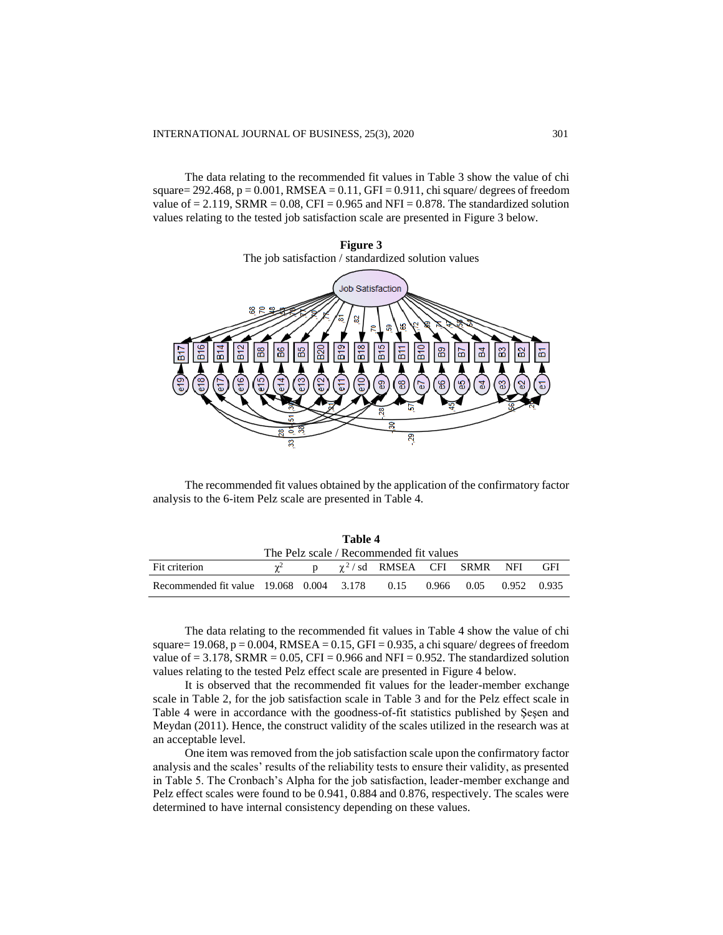The data relating to the recommended fit values in Table 3 show the value of chi square=  $292.468$ , p =  $0.001$ , RMSEA =  $0.11$ , GFI =  $0.911$ , chi square/ degrees of freedom value of  $= 2.119$ , SRMR  $= 0.08$ , CFI  $= 0.965$  and NFI  $= 0.878$ . The standardized solution values relating to the tested job satisfaction scale are presented in Figure 3 below.



The recommended fit values obtained by the application of the confirmatory factor analysis to the 6-item Pelz scale are presented in Table 4.

| Table 4                                                              |  |  |  |                                  |  |  |  |     |
|----------------------------------------------------------------------|--|--|--|----------------------------------|--|--|--|-----|
| The Pelz scale / Recommended fit values                              |  |  |  |                                  |  |  |  |     |
| Fit criterion                                                        |  |  |  | $\chi^2$ / sd RMSEA CFI SRMR NFI |  |  |  | GFI |
| Recommended fit value 19.068 0.004 3.178 0.15 0.966 0.05 0.952 0.935 |  |  |  |                                  |  |  |  |     |

The data relating to the recommended fit values in Table 4 show the value of chi square=  $19.068$ , p =  $0.004$ , RMSEA =  $0.15$ , GFI =  $0.935$ , a chi square/ degrees of freedom value of  $= 3.178$ , SRMR  $= 0.05$ , CFI  $= 0.966$  and NFI  $= 0.952$ . The standardized solution values relating to the tested Pelz effect scale are presented in Figure 4 below.

It is observed that the recommended fit values for the leader-member exchange scale in Table 2, for the job satisfaction scale in Table 3 and for the Pelz effect scale in Table 4 were in accordance with the goodness-of-fit statistics published by Şeşen and Meydan (2011). Hence, the construct validity of the scales utilized in the research was at an acceptable level.

One item was removed from the job satisfaction scale upon the confirmatory factor analysis and the scales' results of the reliability tests to ensure their validity, as presented in Table 5. The Cronbach's Alpha for the job satisfaction, leader-member exchange and Pelz effect scales were found to be 0.941, 0.884 and 0.876, respectively. The scales were determined to have internal consistency depending on these values.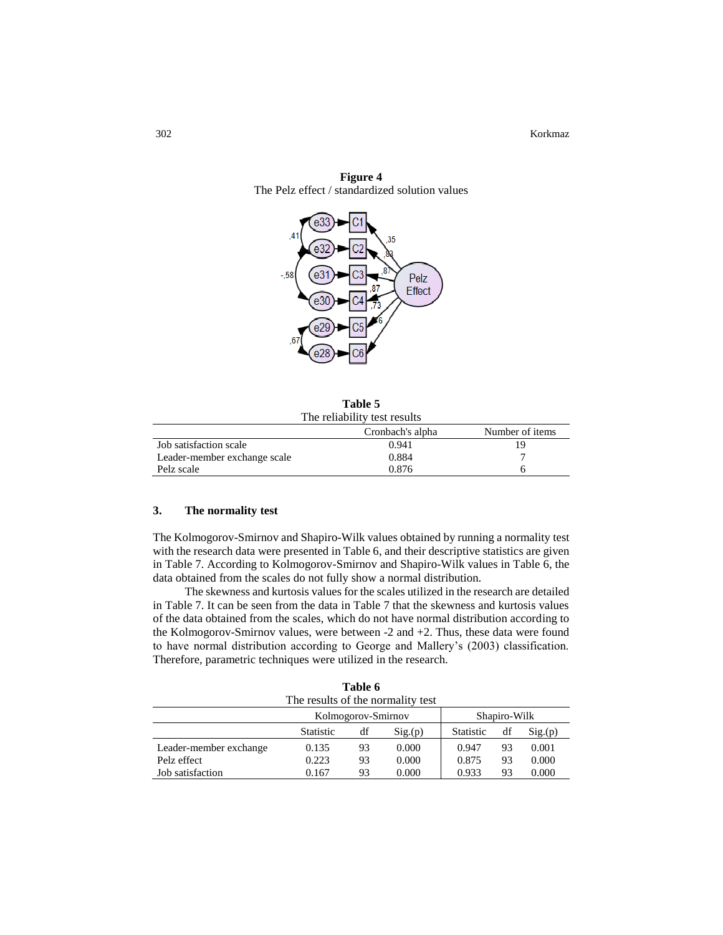

**Figure 4** The Pelz effect / standardized solution values

**Table 5** The reliability test results

|                              | Cronbach's alpha | Number of items |
|------------------------------|------------------|-----------------|
| Job satisfaction scale       | 0.941            |                 |
| Leader-member exchange scale | 0.884            |                 |
| Pelz scale                   | 0.876            |                 |

## **3. The normality test**

The Kolmogorov-Smirnov and Shapiro-Wilk values obtained by running a normality test with the research data were presented in Table 6, and their descriptive statistics are given in Table 7. According to Kolmogorov-Smirnov and Shapiro-Wilk values in Table 6, the data obtained from the scales do not fully show a normal distribution.

The skewness and kurtosis values for the scales utilized in the research are detailed in Table 7. It can be seen from the data in Table 7 that the skewness and kurtosis values of the data obtained from the scales, which do not have normal distribution according to the Kolmogorov-Smirnov values, were between -2 and +2. Thus, these data were found to have normal distribution according to George and Mallery's (2003) classification. Therefore, parametric techniques were utilized in the research.

| Table 6                |                                   |    |        |                  |    |        |  |  |
|------------------------|-----------------------------------|----|--------|------------------|----|--------|--|--|
|                        | The results of the normality test |    |        |                  |    |        |  |  |
|                        | Kolmogorov-Smirnov                |    |        | Shapiro-Wilk     |    |        |  |  |
|                        | <b>Statistic</b>                  | df | Sig(p) | <b>Statistic</b> | df | Sig(p) |  |  |
| Leader-member exchange | 0.135                             | 93 | 0.000  | 0.947            | 93 | 0.001  |  |  |
| Pelz effect            | 0.223                             | 93 | 0.000  | 0.875            | 93 | 0.000  |  |  |
| Job satisfaction       | 0.167                             | 93 | 0.000  | 0.933            | 93 | 0.000  |  |  |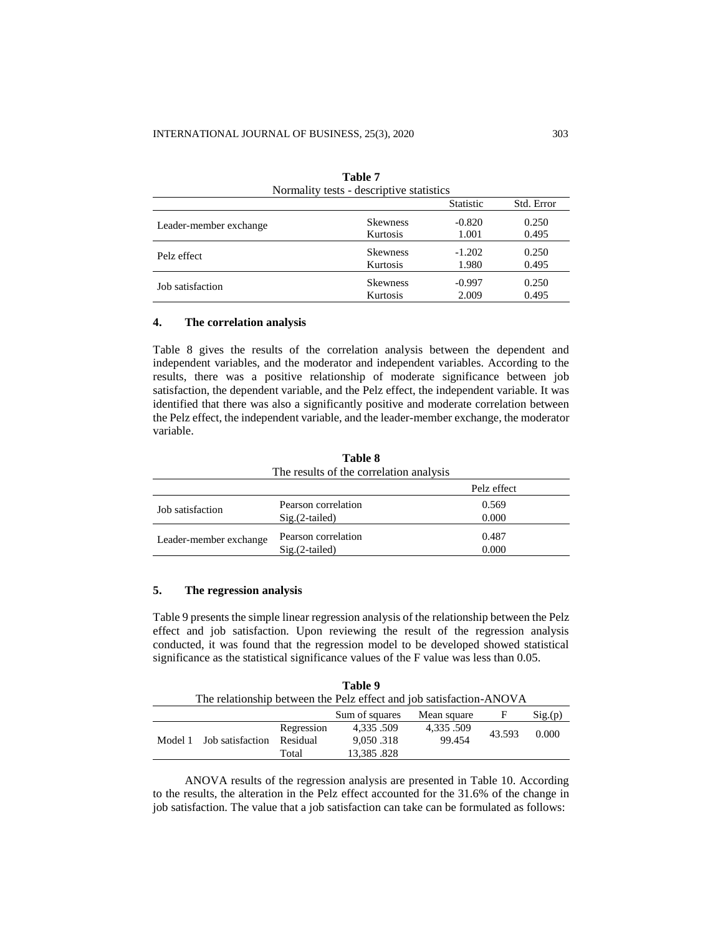| Normality tests - descriptive statistics |                 |                  |            |  |  |
|------------------------------------------|-----------------|------------------|------------|--|--|
|                                          |                 | <b>Statistic</b> | Std. Error |  |  |
| Leader-member exchange                   | <b>Skewness</b> | $-0.820$         | 0.250      |  |  |
|                                          | Kurtosis        | 1.001            | 0.495      |  |  |
| Pelz effect                              | <b>Skewness</b> | $-1.202$         | 0.250      |  |  |
|                                          | Kurtosis        | 1.980            | 0.495      |  |  |
| Job satisfaction                         | <b>Skewness</b> | $-0.997$         | 0.250      |  |  |
|                                          | Kurtosis        | 2.009            | 0.495      |  |  |

| Table 7                                  |  |  |  |  |  |  |
|------------------------------------------|--|--|--|--|--|--|
| Normality tests - descriptive statistics |  |  |  |  |  |  |

## **4. The correlation analysis**

Table 8 gives the results of the correlation analysis between the dependent and independent variables, and the moderator and independent variables. According to the results, there was a positive relationship of moderate significance between job satisfaction, the dependent variable, and the Pelz effect, the independent variable. It was identified that there was also a significantly positive and moderate correlation between the Pelz effect, the independent variable, and the leader-member exchange, the moderator variable.

| The results of the correlation analysis |                                         |                |  |  |  |
|-----------------------------------------|-----------------------------------------|----------------|--|--|--|
|                                         |                                         | Pelz effect    |  |  |  |
| Job satisfaction                        | Pearson correlation<br>$Sig.(2-tailed)$ | 0.569<br>0.000 |  |  |  |
| Leader-member exchange                  | Pearson correlation<br>$Sig.(2-tailed)$ | 0.487<br>0.000 |  |  |  |

**Table 8**

## **5. The regression analysis**

Table 9 presents the simple linear regression analysis of the relationship between the Pelz effect and job satisfaction. Upon reviewing the result of the regression analysis conducted, it was found that the regression model to be developed showed statistical significance as the statistical significance values of the F value was less than 0.05.

| Table 9                                                             |  |            |                |             |        |        |  |  |  |
|---------------------------------------------------------------------|--|------------|----------------|-------------|--------|--------|--|--|--|
| The relationship between the Pelz effect and job satisfaction-ANOVA |  |            |                |             |        |        |  |  |  |
|                                                                     |  |            | Sum of squares | Mean square | F      | Sig(p) |  |  |  |
|                                                                     |  | Regression | 4.335.509      | 4,335.509   | 43.593 | 0.000  |  |  |  |
| Model 1 Job satisfaction                                            |  | Residual   | 9,050.318      | 99.454      |        |        |  |  |  |
|                                                                     |  | Total      | 13,385.828     |             |        |        |  |  |  |

ANOVA results of the regression analysis are presented in Table 10. According to the results, the alteration in the Pelz effect accounted for the 31.6% of the change in job satisfaction. The value that a job satisfaction can take can be formulated as follows: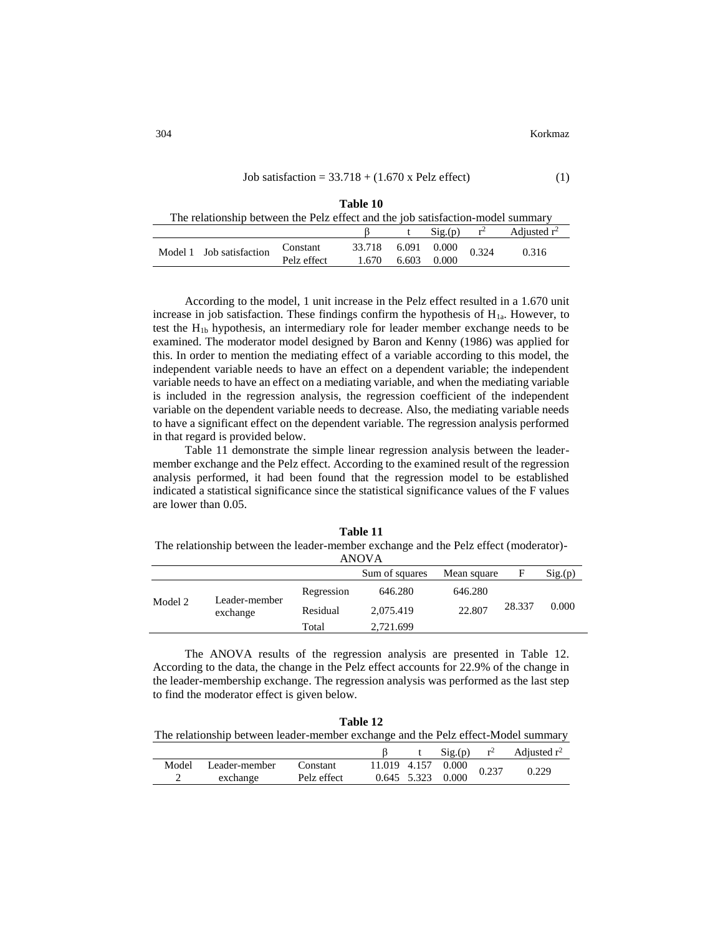| Job satisfaction = $33.718 + (1.670 \text{ x Pelz effect})$ | (1) |
|-------------------------------------------------------------|-----|
|                                                             |     |
| 70 I I 10                                                   |     |

| тате то                                                                         |                          |                         |                 |       |                      |       |                                       |  |
|---------------------------------------------------------------------------------|--------------------------|-------------------------|-----------------|-------|----------------------|-------|---------------------------------------|--|
| The relationship between the Pelz effect and the job satisfaction-model summary |                          |                         |                 |       |                      |       |                                       |  |
|                                                                                 |                          |                         |                 |       |                      |       | $\text{Sig.}(p)$ $r^2$ Adjusted $r^2$ |  |
|                                                                                 | Model 1 Job satisfaction | Constant<br>Pelz effect | 33.718<br>1.670 | 6.603 | 6.091 0.000<br>0.000 | 0.324 | 0.316                                 |  |

According to the model, 1 unit increase in the Pelz effect resulted in a 1.670 unit increase in job satisfaction. These findings confirm the hypothesis of  $H_{1a}$ . However, to test the H1b hypothesis, an intermediary role for leader member exchange needs to be examined. The moderator model designed by Baron and Kenny (1986) was applied for this. In order to mention the mediating effect of a variable according to this model, the independent variable needs to have an effect on a dependent variable; the independent variable needs to have an effect on a mediating variable, and when the mediating variable is included in the regression analysis, the regression coefficient of the independent variable on the dependent variable needs to decrease. Also, the mediating variable needs to have a significant effect on the dependent variable. The regression analysis performed in that regard is provided below.

Table 11 demonstrate the simple linear regression analysis between the leadermember exchange and the Pelz effect. According to the examined result of the regression analysis performed, it had been found that the regression model to be established indicated a statistical significance since the statistical significance values of the F values are lower than 0.05.

**Table 11** The relationship between the leader-member exchange and the Pelz effect (moderator)- ANOVA

|         |                           |            | ,,,,,,,        |             |        |        |
|---------|---------------------------|------------|----------------|-------------|--------|--------|
|         |                           |            | Sum of squares | Mean square | F      | Sig(p) |
| Model 2 | Leader-member<br>exchange | Regression | 646.280        | 646.280     |        |        |
|         |                           | Residual   | 2.075.419      | 22.807      | 28.337 | 0.000  |
|         |                           | Total      | 2,721.699      |             |        |        |
|         |                           |            |                |             |        |        |

The ANOVA results of the regression analysis are presented in Table 12. According to the data, the change in the Pelz effect accounts for 22.9% of the change in the leader-membership exchange. The regression analysis was performed as the last step to find the moderator effect is given below.

| Table 12                                                                          |  |
|-----------------------------------------------------------------------------------|--|
| The relationship between leader-member exchange and the Pelz effect-Model summary |  |

|       |               |             |  | Sig(p)                     | $r^2$ | Adjusted $r^2$ |
|-------|---------------|-------------|--|----------------------------|-------|----------------|
| Model | Leader-member | Constant    |  | $11.019$ 4.157 0.000 0.237 |       | 0.229          |
| ∽     | exchange      | Pelz effect |  | $0.645$ 5.323 0.000        |       |                |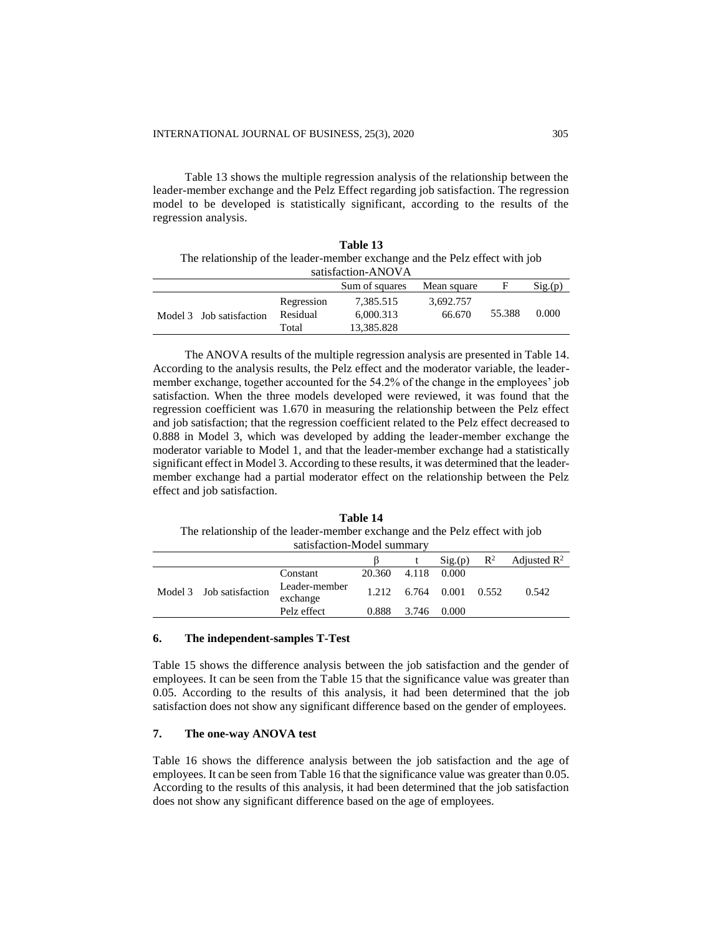Table 13 shows the multiple regression analysis of the relationship between the leader-member exchange and the Pelz Effect regarding job satisfaction. The regression model to be developed is statistically significant, according to the results of the regression analysis.

|                                                                             |                    | Table 13       |             |        |        |  |  |  |
|-----------------------------------------------------------------------------|--------------------|----------------|-------------|--------|--------|--|--|--|
| The relationship of the leader-member exchange and the Pelz effect with job |                    |                |             |        |        |  |  |  |
|                                                                             | satisfaction-ANOVA |                |             |        |        |  |  |  |
|                                                                             |                    | Sum of squares | Mean square | F      | Sig(p) |  |  |  |
|                                                                             | Regression         | 7,385.515      | 3,692.757   |        |        |  |  |  |
| Model 3 Job satisfaction                                                    | Residual           | 6,000.313      | 66.670      | 55.388 | 0.000  |  |  |  |
|                                                                             | Total              | 13,385.828     |             |        |        |  |  |  |

The ANOVA results of the multiple regression analysis are presented in Table 14. According to the analysis results, the Pelz effect and the moderator variable, the leadermember exchange, together accounted for the 54.2% of the change in the employees' job satisfaction. When the three models developed were reviewed, it was found that the regression coefficient was 1.670 in measuring the relationship between the Pelz effect and job satisfaction; that the regression coefficient related to the Pelz effect decreased to 0.888 in Model 3, which was developed by adding the leader-member exchange the moderator variable to Model 1, and that the leader-member exchange had a statistically significant effect in Model 3. According to these results, it was determined that the leadermember exchange had a partial moderator effect on the relationship between the Pelz effect and job satisfaction.

**Table 14** The relationship of the leader-member exchange and the Pelz effect with job satisfaction-Model summary

| sausiaction-iviouci summai v |  |                           |        |       |                         |                |                         |
|------------------------------|--|---------------------------|--------|-------|-------------------------|----------------|-------------------------|
|                              |  |                           |        |       | Sig(p)                  | $\mathbb{R}^2$ | Adjusted $\mathbb{R}^2$ |
| Model 3 Job satisfaction     |  | Constant                  | 20.360 | 4.118 | 0.000                   |                |                         |
|                              |  | Leader-member<br>exchange |        |       | 1.212 6.764 0.001 0.552 |                | 0.542                   |
|                              |  | Pelz effect               | 0.888  | 3.746 | 0.000                   |                |                         |

#### **6. The independent-samples T-Test**

Table 15 shows the difference analysis between the job satisfaction and the gender of employees. It can be seen from the Table 15 that the significance value was greater than 0.05. According to the results of this analysis, it had been determined that the job satisfaction does not show any significant difference based on the gender of employees.

## **7. The one-way ANOVA test**

Table 16 shows the difference analysis between the job satisfaction and the age of employees. It can be seen from Table 16 that the significance value was greater than 0.05. According to the results of this analysis, it had been determined that the job satisfaction does not show any significant difference based on the age of employees.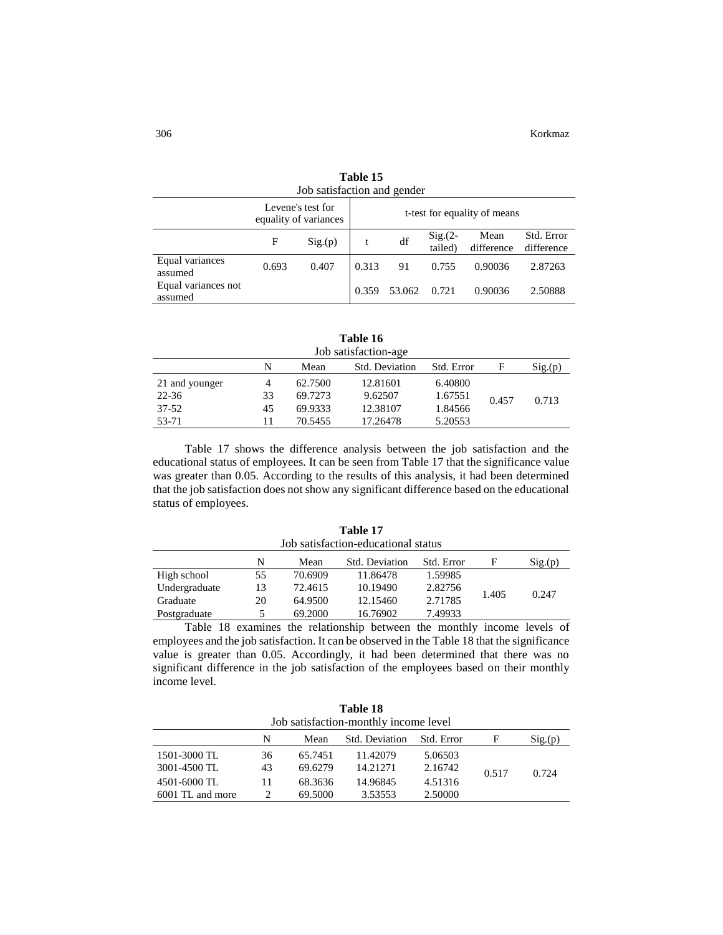| Job satisfaction and gender    |       |                                            |                              |        |                      |                    |                          |  |  |
|--------------------------------|-------|--------------------------------------------|------------------------------|--------|----------------------|--------------------|--------------------------|--|--|
|                                |       | Levene's test for<br>equality of variances | t-test for equality of means |        |                      |                    |                          |  |  |
|                                | F     | Sig(p)                                     |                              | df     | $Sig(2 -$<br>tailed) | Mean<br>difference | Std. Error<br>difference |  |  |
| Equal variances<br>assumed     | 0.693 | 0.407                                      | 0.313                        | 91     | 0.755                | 0.90036            | 2.87263                  |  |  |
| Equal variances not<br>assumed |       |                                            | 0.359                        | 53.062 | 0.721                | 0.90036            | 2.50888                  |  |  |

**Table 15**

| Table 16             |  |
|----------------------|--|
| Job satisfaction-age |  |

| JUU SAUSIAUUUI-AgU |    |         |                |            |       |        |  |
|--------------------|----|---------|----------------|------------|-------|--------|--|
|                    | N  | Mean    | Std. Deviation | Std. Error | н     | Sig(p) |  |
| 21 and younger     | 4  | 62.7500 | 12.81601       | 6.40800    |       |        |  |
| 22-36              | 33 | 69.7273 | 9.62507        | 1.67551    | 0.457 | 0.713  |  |
| 37-52              | 45 | 69.9333 | 12.38107       | 1.84566    |       |        |  |
| 53-71              | 11 | 70.5455 | 17.26478       | 5.20553    |       |        |  |

Table 17 shows the difference analysis between the job satisfaction and the educational status of employees. It can be seen from Table 17 that the significance value was greater than 0.05. According to the results of this analysis, it had been determined that the job satisfaction does not show any significant difference based on the educational status of employees.

| Table 17<br>Job satisfaction-educational status |    |         |                       |            |       |        |  |  |
|-------------------------------------------------|----|---------|-----------------------|------------|-------|--------|--|--|
|                                                 | N  | Mean    | <b>Std. Deviation</b> | Std. Error | F     | Sig(p) |  |  |
| High school                                     | 55 | 70.6909 | 11.86478              | 1.59985    |       |        |  |  |
| Undergraduate                                   | 13 | 72.4615 | 10.19490              | 2.82756    |       | 0.247  |  |  |
| Graduate                                        | 20 | 64.9500 | 12.15460              | 2.71785    | 1.405 |        |  |  |
| Postgraduate                                    | 5. | 69.2000 | 16.76902              | 7.49933    |       |        |  |  |

Table 18 examines the relationship between the monthly income levels of employees and the job satisfaction. It can be observed in the Table 18 that the significance value is greater than 0.05. Accordingly, it had been determined that there was no significant difference in the job satisfaction of the employees based on their monthly income level.

|                                       |    |         | Table 18       |            |       |        |  |  |
|---------------------------------------|----|---------|----------------|------------|-------|--------|--|--|
| Job satisfaction-monthly income level |    |         |                |            |       |        |  |  |
|                                       | N  | Mean    | Std. Deviation | Std. Error | F     | Sig(p) |  |  |
| 1501-3000 TL                          | 36 | 65.7451 | 11.42079       | 5.06503    |       |        |  |  |
| 3001-4500 TL                          | 43 | 69.6279 | 14.21271       | 2.16742    | 0.517 | 0.724  |  |  |
| 4501-6000 TL                          | 11 | 68.3636 | 14.96845       | 4.51316    |       |        |  |  |
| 6001 TL and more                      | 2  | 69.5000 | 3.53553        | 2.50000    |       |        |  |  |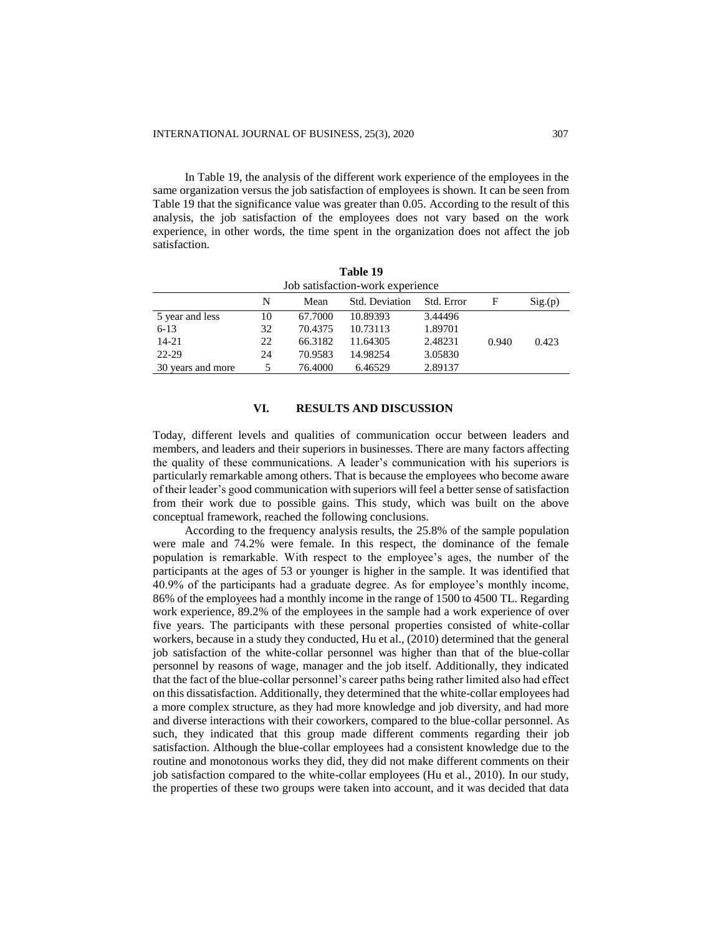In Table 19, the analysis of the different work experience of the employees in the same organization versus the job satisfaction of employees is shown. It can be seen from Table 19 that the significance value was greater than 0.05. According to the result of this analysis, the job satisfaction of the employees does not vary based on the work experience, in other words, the time spent in the organization does not affect the job satisfaction.

|                   |    |         | Table 19                         |            |       |        |
|-------------------|----|---------|----------------------------------|------------|-------|--------|
|                   |    |         | Job satisfaction-work experience |            |       |        |
|                   | N  | Mean    | Std. Deviation                   | Std. Error | F     | Sig(p) |
| 5 year and less   | 10 | 67.7000 | 10.89393                         | 3.44496    |       |        |
| $6-13$            | 32 | 70.4375 | 10.73113                         | 1.89701    |       |        |
| $14 - 21$         | 22 | 66.3182 | 11.64305                         | 2.48231    | 0.940 | 0.423  |
| 22-29             | 24 | 70.9583 | 14.98254                         | 3.05830    |       |        |
| 30 years and more | 5  | 76.4000 | 6.46529                          | 2.89137    |       |        |

## **VI. RESULTS AND DISCUSSION**

Today, different levels and qualities of communication occur between leaders and members, and leaders and their superiors in businesses. There are many factors affecting the quality of these communications. A leader's communication with his superiors is particularly remarkable among others. That is because the employees who become aware of their leader's good communication with superiors will feel a better sense of satisfaction from their work due to possible gains. This study, which was built on the above conceptual framework, reached the following conclusions.

According to the frequency analysis results, the 25.8% of the sample population were male and 74.2% were female. In this respect, the dominance of the female population is remarkable. With respect to the employee's ages, the number of the participants at the ages of 53 or younger is higher in the sample. It was identified that 40.9% of the participants had a graduate degree. As for employee's monthly income, 86% of the employees had a monthly income in the range of 1500 to 4500 TL. Regarding work experience, 89.2% of the employees in the sample had a work experience of over five years. The participants with these personal properties consisted of white-collar workers, because in a study they conducted, Hu et al., (2010) determined that the general job satisfaction of the white-collar personnel was higher than that of the blue-collar personnel by reasons of wage, manager and the job itself. Additionally, they indicated that the fact of the blue-collar personnel's career paths being rather limited also had effect on this dissatisfaction. Additionally, they determined that the white-collar employees had a more complex structure, as they had more knowledge and job diversity, and had more and diverse interactions with their coworkers, compared to the blue-collar personnel. As such, they indicated that this group made different comments regarding their job satisfaction. Although the blue-collar employees had a consistent knowledge due to the routine and monotonous works they did, they did not make different comments on their job satisfaction compared to the white-collar employees (Hu et al., 2010). In our study, the properties of these two groups were taken into account, and it was decided that data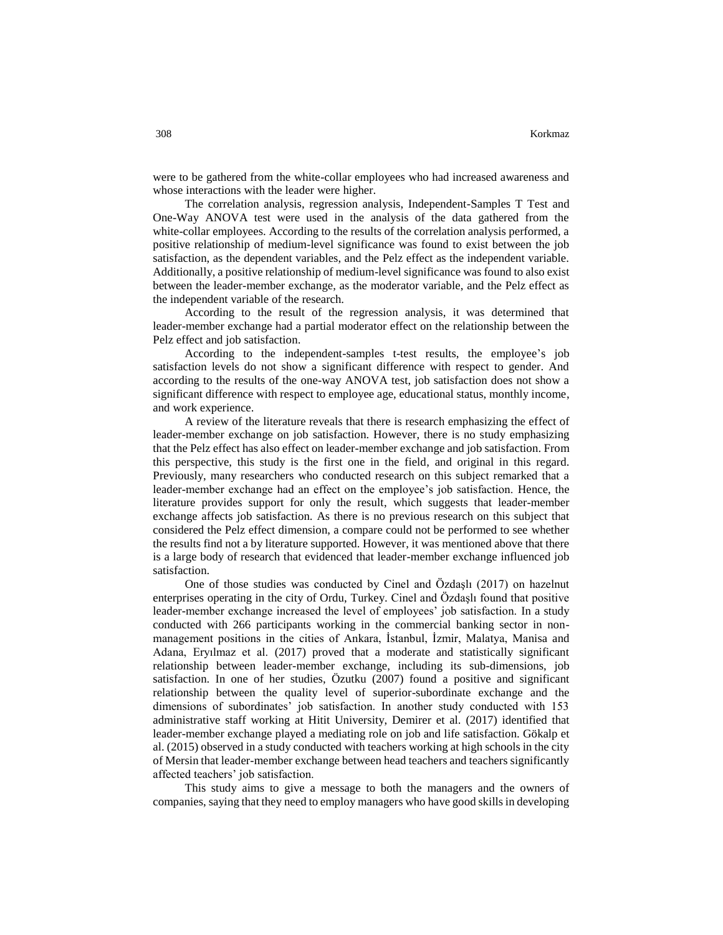were to be gathered from the white-collar employees who had increased awareness and whose interactions with the leader were higher.

The correlation analysis, regression analysis, Independent-Samples T Test and One-Way ANOVA test were used in the analysis of the data gathered from the white-collar employees. According to the results of the correlation analysis performed, a positive relationship of medium-level significance was found to exist between the job satisfaction, as the dependent variables, and the Pelz effect as the independent variable. Additionally, a positive relationship of medium-level significance was found to also exist between the leader-member exchange, as the moderator variable, and the Pelz effect as the independent variable of the research.

According to the result of the regression analysis, it was determined that leader-member exchange had a partial moderator effect on the relationship between the Pelz effect and job satisfaction.

According to the independent-samples t-test results, the employee's job satisfaction levels do not show a significant difference with respect to gender. And according to the results of the one-way ANOVA test, job satisfaction does not show a significant difference with respect to employee age, educational status, monthly income, and work experience.

A review of the literature reveals that there is research emphasizing the effect of leader-member exchange on job satisfaction. However, there is no study emphasizing that the Pelz effect has also effect on leader-member exchange and job satisfaction. From this perspective, this study is the first one in the field, and original in this regard. Previously, many researchers who conducted research on this subject remarked that a leader-member exchange had an effect on the employee's job satisfaction. Hence, the literature provides support for only the result, which suggests that leader-member exchange affects job satisfaction. As there is no previous research on this subject that considered the Pelz effect dimension, a compare could not be performed to see whether the results find not a by literature supported. However, it was mentioned above that there is a large body of research that evidenced that leader-member exchange influenced job satisfaction.

One of those studies was conducted by Cinel and Özdaşlı (2017) on hazelnut enterprises operating in the city of Ordu, Turkey. Cinel and Özdaşlı found that positive leader-member exchange increased the level of employees' job satisfaction. In a study conducted with 266 participants working in the commercial banking sector in nonmanagement positions in the cities of Ankara, İstanbul, İzmir, Malatya, Manisa and Adana, Eryılmaz et al. (2017) proved that a moderate and statistically significant relationship between leader-member exchange, including its sub-dimensions, job satisfaction. In one of her studies, Özutku (2007) found a positive and significant relationship between the quality level of superior-subordinate exchange and the dimensions of subordinates' job satisfaction. In another study conducted with 153 administrative staff working at Hitit University, Demirer et al. (2017) identified that leader-member exchange played a mediating role on job and life satisfaction. Gökalp et al. (2015) observed in a study conducted with teachers working at high schools in the city of Mersin that leader-member exchange between head teachers and teachers significantly affected teachers' job satisfaction.

This study aims to give a message to both the managers and the owners of companies, saying that they need to employ managers who have good skills in developing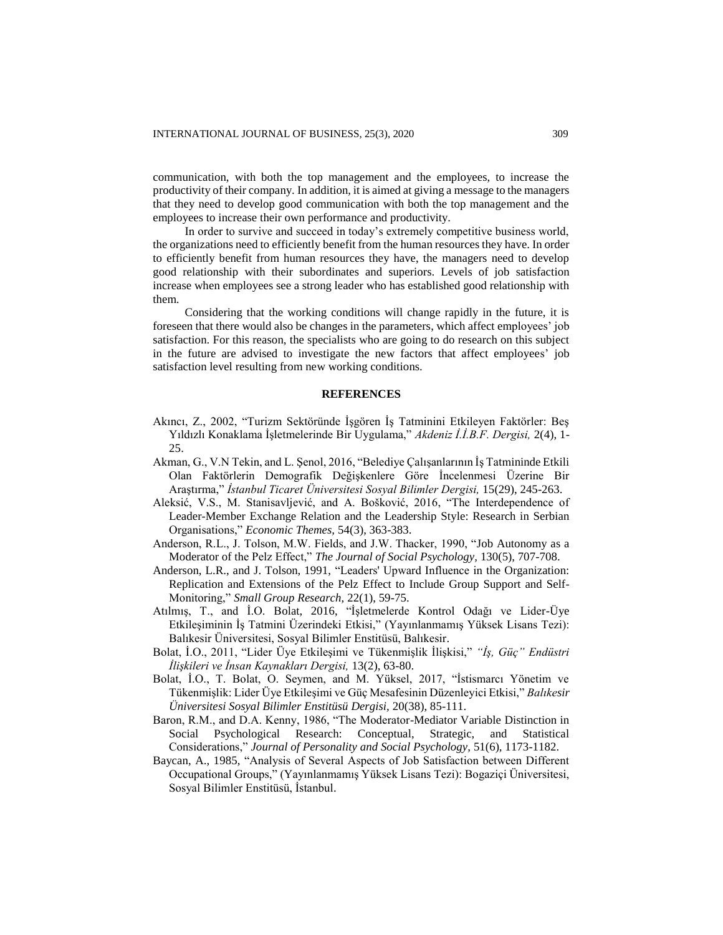communication, with both the top management and the employees, to increase the productivity of their company. In addition, it is aimed at giving a message to the managers that they need to develop good communication with both the top management and the employees to increase their own performance and productivity.

In order to survive and succeed in today's extremely competitive business world, the organizations need to efficiently benefit from the human resources they have. In order to efficiently benefit from human resources they have, the managers need to develop good relationship with their subordinates and superiors. Levels of job satisfaction increase when employees see a strong leader who has established good relationship with them.

Considering that the working conditions will change rapidly in the future, it is foreseen that there would also be changes in the parameters, which affect employees' job satisfaction. For this reason, the specialists who are going to do research on this subject in the future are advised to investigate the new factors that affect employees' job satisfaction level resulting from new working conditions.

#### **REFERENCES**

- Akıncı, Z., 2002, "Turizm Sektöründe İşgören İş Tatminini Etkileyen Faktörler: Beş Yıldızlı Konaklama İşletmelerinde Bir Uygulama," *Akdeniz İ.İ.B.F. Dergisi,* 2(4), 1- 25.
- Akman, G., V.N Tekin, and L. Şenol, 2016, "Belediye Çalışanlarının İş Tatmininde Etkili Olan Faktörlerin Demografik Değişkenlere Göre İncelenmesi Üzerine Bir Araştırma," *İstanbul Ticaret Üniversitesi Sosyal Bilimler Dergisi,* 15(29), 245-263.
- Aleksić, V.S., M. Stanisavljević, and A. Bošković, 2016, "The Interdependence of Leader-Member Exchange Relation and the Leadership Style: Research in Serbian Organisations," *Economic Themes,* 54(3), 363-383.
- Anderson, R.L., J. Tolson, M.W. Fields, and J.W. Thacker, 1990, "Job Autonomy as a Moderator of the Pelz Effect," *The Journal of Social Psychology,* 130(5), 707-708.
- Anderson, L.R., and J. Tolson, 1991, "Leaders' Upward Influence in the Organization: Replication and Extensions of the Pelz Effect to Include Group Support and Self-Monitoring," *Small Group Research,* 22(1), 59-75.
- Atılmış, T., and İ.O. Bolat, 2016, "İşletmelerde Kontrol Odağı ve Lider-Üye Etkileşiminin İş Tatmini Üzerindeki Etkisi," (Yayınlanmamış Yüksek Lisans Tezi): Balıkesir Üniversitesi, Sosyal Bilimler Enstitüsü, Balıkesir.
- Bolat, İ.O., 2011, "Lider Üye Etkileşimi ve Tükenmişlik İlişkisi," *"İş, Güç" Endüstri İlişkileri ve İnsan Kaynakları Dergisi,* 13(2), 63-80.
- Bolat, İ.O., T. Bolat, O. Seymen, and M. Yüksel, 2017, "İstismarcı Yönetim ve Tükenmişlik: Lider Üye Etkileşimi ve Güç Mesafesinin Düzenleyici Etkisi," *Balıkesir Üniversitesi Sosyal Bilimler Enstitüsü Dergisi,* 20(38), 85-111.
- Baron, R.M., and D.A. Kenny, 1986, "The Moderator-Mediator Variable Distinction in Social Psychological Research: Conceptual, Strategic, and Statistical Considerations," *Journal of Personality and Social Psychology,* 51(6), 1173-1182.
- Baycan, A., 1985, "Analysis of Several Aspects of Job Satisfaction between Different Occupational Groups," (Yayınlanmamış Yüksek Lisans Tezi): Bogaziçi Üniversitesi, Sosyal Bilimler Enstitüsü, İstanbul.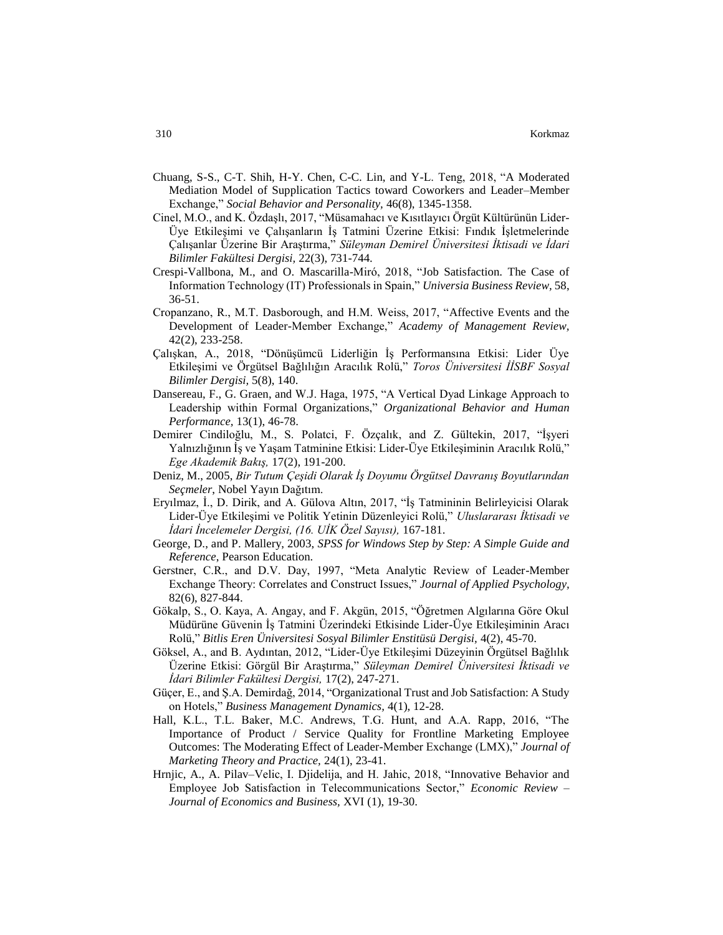- Chuang, S-S., C-T. Shih, H-Y. Chen, C-C. Lin, and Y-L. Teng, 2018, "A Moderated Mediation Model of Supplication Tactics toward Coworkers and Leader–Member Exchange," *Social Behavior and Personality,* 46(8), 1345-1358.
- Cinel, M.O., and K. Özdaşlı, 2017, "Müsamahacı ve Kısıtlayıcı Örgüt Kültürünün Lider-Üye Etkileşimi ve Çalışanların İş Tatmini Üzerine Etkisi: Fındık İşletmelerinde Çalışanlar Üzerine Bir Araştırma," *Süleyman Demirel Üniversitesi İktisadi ve İdari Bilimler Fakültesi Dergisi,* 22(3), 731-744.
- Crespi-Vallbona, M., and O. Mascarilla-Miró, 2018, "Job Satisfaction. The Case of Information Technology (IT) Professionals in Spain," *Universia Business Review,* 58, 36-51.
- Cropanzano, R., M.T. Dasborough, and H.M. Weiss, 2017, "Affective Events and the Development of Leader-Member Exchange," *Academy of Management Review,* 42(2), 233-258.
- Çalışkan, A., 2018, "Dönüşümcü Liderliğin İş Performansına Etkisi: Lider Üye Etkileşimi ve Örgütsel Bağlılığın Aracılık Rolü," *Toros Üniversitesi İİSBF Sosyal Bilimler Dergisi,* 5(8), 140.
- Dansereau, F., G. Graen, and W.J. Haga, 1975, "A Vertical Dyad Linkage Approach to Leadership within Formal Organizations," *Organizational Behavior and Human Performance,* 13(1), 46-78.
- Demirer Cindiloğlu, M., S. Polatci, F. Özçalık, and Z. Gültekin, 2017, "İşyeri Yalnızlığının İş ve Yaşam Tatminine Etkisi: Lider-Üye Etkileşiminin Aracılık Rolü," *Ege Akademik Bakış,* 17(2), 191-200.
- Deniz, M., 2005, *Bir Tutum Çeşidi Olarak İş Doyumu Örgütsel Davranış Boyutlarından Seçmeler*, Nobel Yayın Dağıtım.
- Eryılmaz, İ., D. Dirik, and A. Gülova Altın, 2017, "İş Tatmininin Belirleyicisi Olarak Lider-Üye Etkileşimi ve Politik Yetinin Düzenleyici Rolü," *Uluslararası İktisadi ve İdari İncelemeler Dergisi, (16. UİK Özel Sayısı),* 167-181.
- George, D., and P. Mallery, 2003, *SPSS for Windows Step by Step: A Simple Guide and Reference*, Pearson Education.
- Gerstner, C.R., and D.V. Day, 1997, "Meta Analytic Review of Leader-Member Exchange Theory: Correlates and Construct Issues," *Journal of Applied Psychology,* 82(6), 827-844.
- Gökalp, S., O. Kaya, A. Angay, and F. Akgün, 2015, "Öğretmen Algılarına Göre Okul Müdürüne Güvenin İş Tatmini Üzerindeki Etkisinde Lider-Üye Etkileşiminin Aracı Rolü," *Bitlis Eren Üniversitesi Sosyal Bilimler Enstitüsü Dergisi,* 4(2), 45-70.
- Göksel, A., and B. Aydıntan, 2012, "Lider-Üye Etkileşimi Düzeyinin Örgütsel Bağlılık Üzerine Etkisi: Görgül Bir Araştırma," *Süleyman Demirel Üniversitesi İktisadi ve İdari Bilimler Fakültesi Dergisi,* 17(2), 247-271.
- Güçer, E., and Ş.A. Demirdağ, 2014, "Organizational Trust and Job Satisfaction: A Study on Hotels," *Business Management Dynamics,* 4(1), 12-28.
- Hall, K.L., T.L. Baker, M.C. Andrews, T.G. Hunt, and A.A. Rapp, 2016, "The Importance of Product / Service Quality for Frontline Marketing Employee Outcomes: The Moderating Effect of Leader-Member Exchange (LMX)," *Journal of Marketing Theory and Practice,* 24(1), 23-41.
- Hrnjic, A., A. Pilav–Velic, I. Djidelija, and H. Jahic, 2018, "Innovative Behavior and Employee Job Satisfaction in Telecommunications Sector," *Economic Review – Journal of Economics and Business,* XVI (1), 19-30.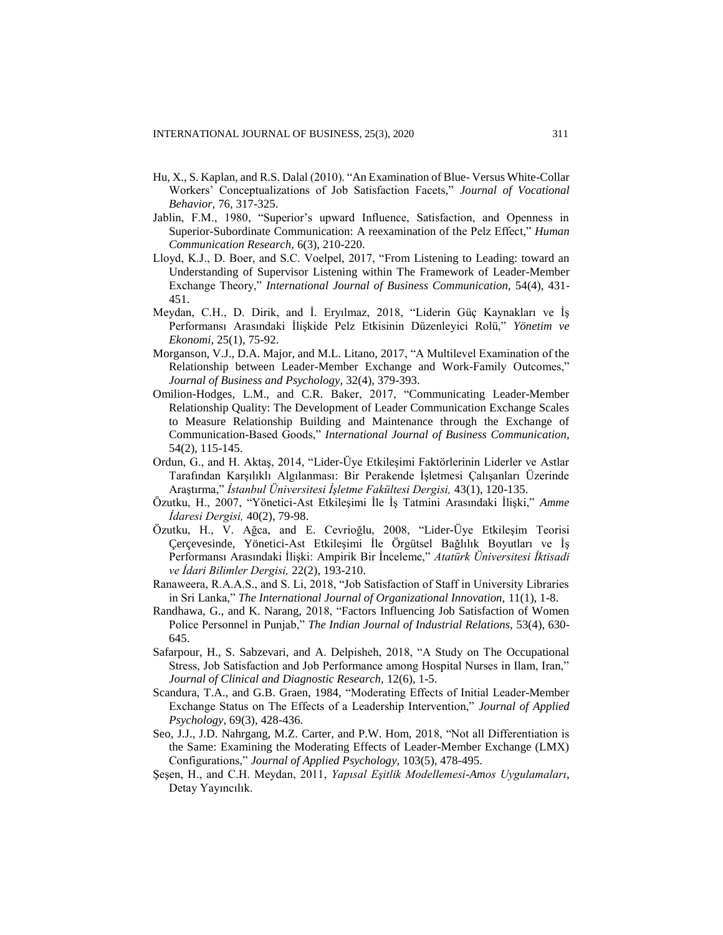- Hu, X., S. Kaplan, and R.S. Dalal (2010). "An Examination of Blue- Versus White-Collar Workers' Conceptualizations of Job Satisfaction Facets," *Journal of Vocational Behavior,* 76, 317-325.
- Jablin, F.M., 1980, "Superior's upward Influence, Satisfaction, and Openness in Superior-Subordinate Communication: A reexamination of the Pelz Effect," *Human Communication Research,* 6(3), 210-220.
- Lloyd, K.J., D. Boer, and S.C. Voelpel, 2017, "From Listening to Leading: toward an Understanding of Supervisor Listening within The Framework of Leader-Member Exchange Theory," *International Journal of Business Communication,* 54(4), 431- 451.
- Meydan, C.H., D. Dirik, and İ. Eryılmaz, 2018, "Liderin Güç Kaynakları ve İş Performansı Arasındaki İlişkide Pelz Etkisinin Düzenleyici Rolü," *Yönetim ve Ekonomi,* 25(1), 75-92.
- Morganson, V.J., D.A. Major, and M.L. Litano, 2017, "A Multilevel Examination of the Relationship between Leader-Member Exchange and Work-Family Outcomes," *Journal of Business and Psychology,* 32(4), 379-393.
- Omilion-Hodges, L.M., and C.R. Baker, 2017, "Communicating Leader-Member Relationship Quality: The Development of Leader Communication Exchange Scales to Measure Relationship Building and Maintenance through the Exchange of Communication-Based Goods," *International Journal of Business Communication,* 54(2), 115-145.
- Ordun, G., and H. Aktaş, 2014, "Lider-Üye Etkileşimi Faktörlerinin Liderler ve Astlar Tarafından Karşılıklı Algılanması: Bir Perakende İşletmesi Çalışanları Üzerinde Araştırma," *İstanbul Üniversitesi İşletme Fakültesi Dergisi,* 43(1), 120-135.
- Özutku, H., 2007, "Yönetici-Ast Etkileşimi İle İş Tatmini Arasındaki İlişki," *Amme İdaresi Dergisi,* 40(2), 79-98.
- Özutku, H., V. Ağca, and E. Cevrioğlu, 2008, "Lider-Üye Etkileşim Teorisi Çerçevesinde, Yönetici-Ast Etkileşimi İle Örgütsel Bağlılık Boyutları ve İş Performansı Arasındaki İlişki: Ampirik Bir İnceleme," *Atatürk Üniversitesi İktisadi ve İdari Bilimler Dergisi,* 22(2), 193-210.
- Ranaweera, R.A.A.S., and S. Li, 2018, "Job Satisfaction of Staff in University Libraries in Sri Lanka," *The International Journal of Organizational Innovation,* 11(1), 1-8.
- Randhawa, G., and K. Narang, 2018, "Factors Influencing Job Satisfaction of Women Police Personnel in Punjab," *The Indian Journal of Industrial Relations,* 53(4), 630- 645.
- Safarpour, H., S. Sabzevari, and A. Delpisheh, 2018, "A Study on The Occupational Stress, Job Satisfaction and Job Performance among Hospital Nurses in Ilam, Iran," *Journal of Clinical and Diagnostic Research,* 12(6), 1-5.
- Scandura, T.A., and G.B. Graen, 1984, "Moderating Effects of Initial Leader-Member Exchange Status on The Effects of a Leadership Intervention," *Journal of Applied Psychology,* 69(3), 428-436.
- Seo, J.J., J.D. Nahrgang, M.Z. Carter, and P.W. Hom, 2018, "Not all Differentiation is the Same: Examining the Moderating Effects of Leader-Member Exchange (LMX) Configurations," *Journal of Applied Psychology,* 103(5), 478-495.
- Şeşen, H., and C.H. Meydan, 2011, *Yapısal Eşitlik Modellemesi-Amos Uygulamaları*, Detay Yayıncılık.